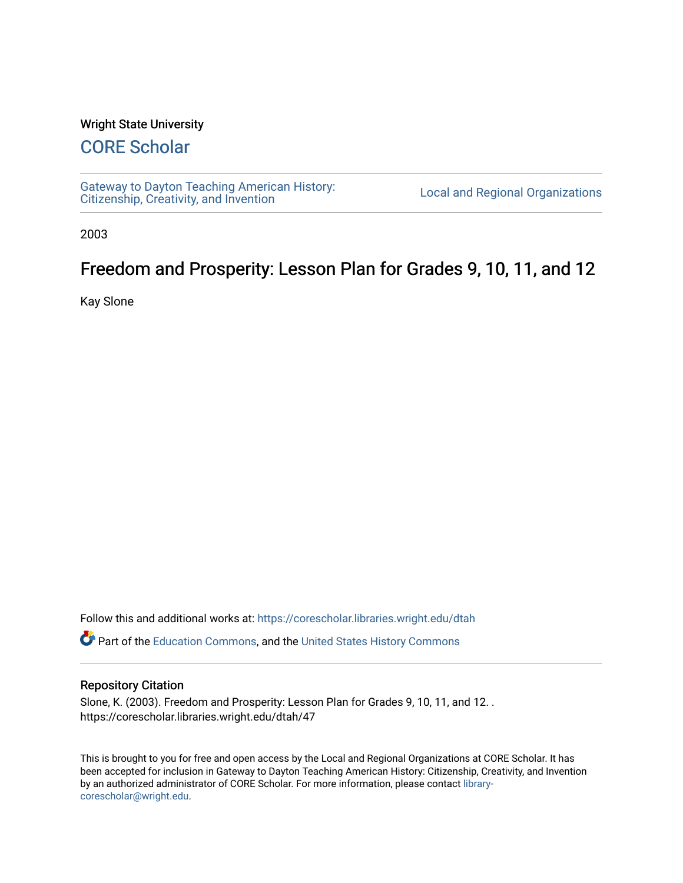#### Wright State University

## [CORE Scholar](https://corescholar.libraries.wright.edu/)

[Gateway to Dayton Teaching American History:](https://corescholar.libraries.wright.edu/dtah)  Gateway to Dayton Teaching American History.<br>[Citizenship, Creativity, and Invention](https://corescholar.libraries.wright.edu/dtah) Listory Local and Regional Organizations

2003

# Freedom and Prosperity: Lesson Plan for Grades 9, 10, 11, and 12

Kay Slone

Follow this and additional works at: [https://corescholar.libraries.wright.edu/dtah](https://corescholar.libraries.wright.edu/dtah?utm_source=corescholar.libraries.wright.edu%2Fdtah%2F47&utm_medium=PDF&utm_campaign=PDFCoverPages)

Part of the [Education Commons](http://network.bepress.com/hgg/discipline/784?utm_source=corescholar.libraries.wright.edu%2Fdtah%2F47&utm_medium=PDF&utm_campaign=PDFCoverPages), and the [United States History Commons](http://network.bepress.com/hgg/discipline/495?utm_source=corescholar.libraries.wright.edu%2Fdtah%2F47&utm_medium=PDF&utm_campaign=PDFCoverPages) 

#### Repository Citation

Slone, K. (2003). Freedom and Prosperity: Lesson Plan for Grades 9, 10, 11, and 12. . https://corescholar.libraries.wright.edu/dtah/47

This is brought to you for free and open access by the Local and Regional Organizations at CORE Scholar. It has been accepted for inclusion in Gateway to Dayton Teaching American History: Citizenship, Creativity, and Invention by an authorized administrator of CORE Scholar. For more information, please contact [library](mailto:library-corescholar@wright.edu)[corescholar@wright.edu](mailto:library-corescholar@wright.edu).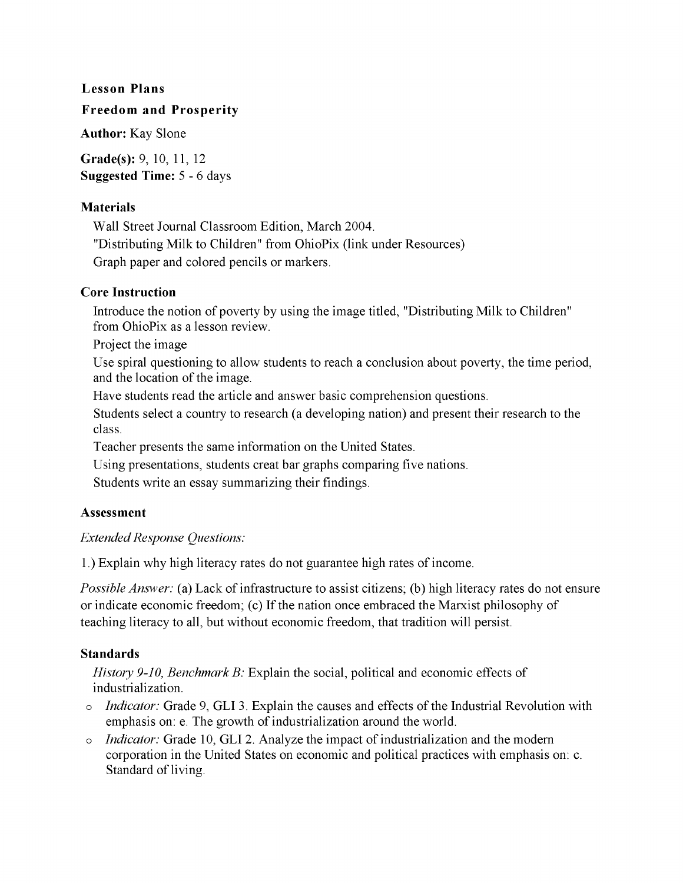#### Lesson Plans

#### Freedom and Prosperity

Author: Kay Slone

Grade(s): 9, 10, 11, 12 Suggested Time: 5 - 6 days

#### Materials

Wall Street Journal Classroom Edition, March 2004. "Distributing Milk to Children" from OhioPix (link under Resources) Graph paper and colored pencils or markers.

#### Core Instruction

Introduce the notion of poverty by using the image titled, "Distributing Milk to Children" from OhioPix as a lesson review.

Project the image

Use spiral questioning to allow students to reach a conclusion about poverty, the time period, and the location of the image.

Have students read the article and answer basic comprehension questions.

Students select a country to research (a developing nation) and present their research to the class.

Teacher presents the same information on the United States.

Using presentations, students creat bar graphs comparing five nations.

Students write an essay summarizing their findings.

#### Assessment

### *Extended Response Questions:*

1.) Explain why high literacy rates do not guarantee high rates of income.

*Possible Answer:* (a) Lack of infrastructure to assist citizens; (b) high literacy rates do not ensure or indicate economic freedom; (c) If the nation once embraced the Marxist philosophy of teaching literacy to all, but without economic freedom, that tradition will persist.

### Standards

*History 9-10, Benchmark B:* Explain the social, political and economic effects of industrialization.

- o *Indicator:* Grade 9, GLI 3. Explain the causes and effects of the Industrial Revolution with emphasis on: e. The growth of industrialization around the world.
- o *Indicator:* Grade 10, GLI 2. Analyze the impact of industrialization and the modern corporation in the United States on economic and political practices with emphasis on: c. Standard of living.